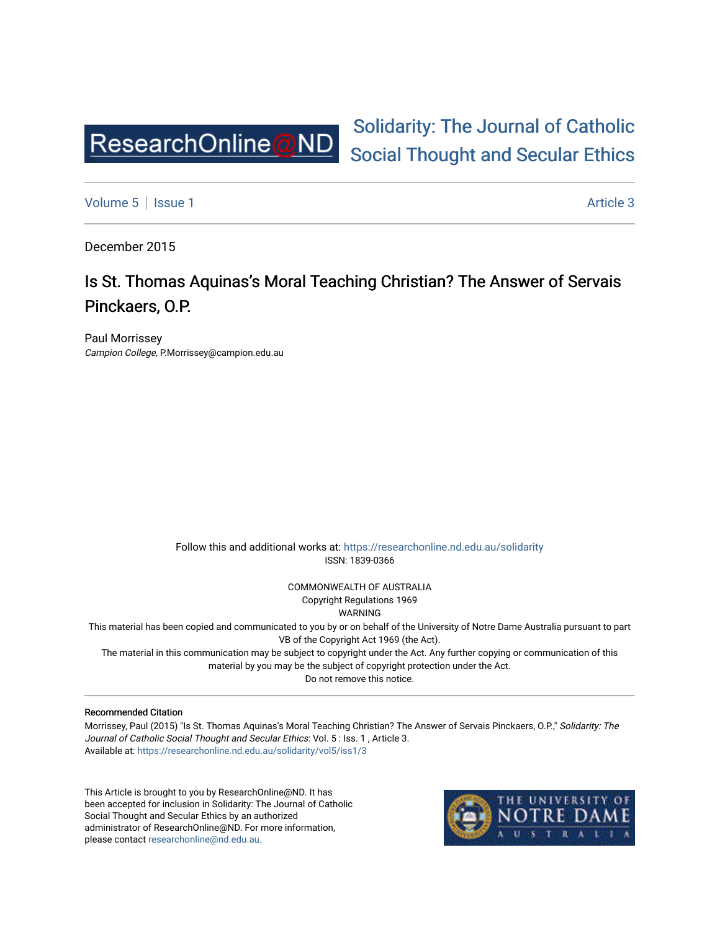

# [Solidarity: The Journal of Catholic](https://researchonline.nd.edu.au/solidarity)  [Social Thought and Secular Ethics](https://researchonline.nd.edu.au/solidarity)

[Volume 5](https://researchonline.nd.edu.au/solidarity/vol5) | [Issue 1](https://researchonline.nd.edu.au/solidarity/vol5/iss1) Article 3

December 2015

## Is St. Thomas Aquinas's Moral Teaching Christian? The Answer of Servais Pinckaers, O.P.

Paul Morrissey Campion College, P.Morrissey@campion.edu.au

> Follow this and additional works at: [https://researchonline.nd.edu.au/solidarity](https://researchonline.nd.edu.au/solidarity?utm_source=researchonline.nd.edu.au%2Fsolidarity%2Fvol5%2Fiss1%2F3&utm_medium=PDF&utm_campaign=PDFCoverPages)  ISSN: 1839-0366

> > COMMONWEALTH OF AUSTRALIA Copyright Regulations 1969

WARNING

This material has been copied and communicated to you by or on behalf of the University of Notre Dame Australia pursuant to part VB of the Copyright Act 1969 (the Act).

The material in this communication may be subject to copyright under the Act. Any further copying or communication of this material by you may be the subject of copyright protection under the Act.

Do not remove this notice.

#### Recommended Citation

Morrissey, Paul (2015) "Is St. Thomas Aquinas's Moral Teaching Christian? The Answer of Servais Pinckaers, O.P.," Solidarity: The Journal of Catholic Social Thought and Secular Ethics: Vol. 5 : Iss. 1 , Article 3. Available at: [https://researchonline.nd.edu.au/solidarity/vol5/iss1/3](https://researchonline.nd.edu.au/solidarity/vol5/iss1/3?utm_source=researchonline.nd.edu.au%2Fsolidarity%2Fvol5%2Fiss1%2F3&utm_medium=PDF&utm_campaign=PDFCoverPages) 

This Article is brought to you by ResearchOnline@ND. It has been accepted for inclusion in Solidarity: The Journal of Catholic Social Thought and Secular Ethics by an authorized administrator of ResearchOnline@ND. For more information, please contact [researchonline@nd.edu.au.](mailto:researchonline@nd.edu.au)

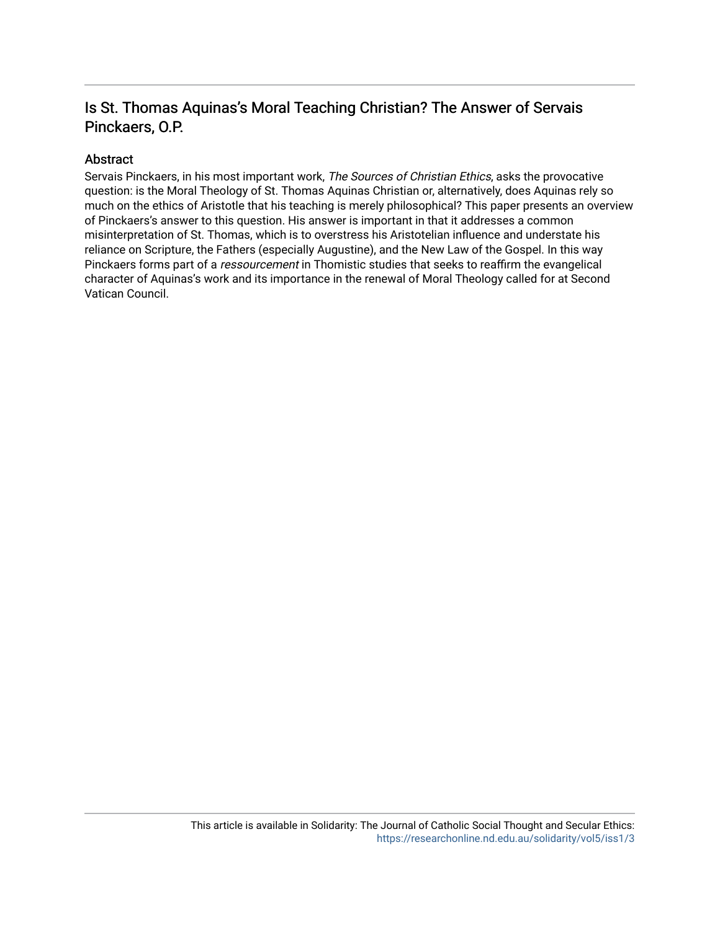### Is St. Thomas Aquinas's Moral Teaching Christian? The Answer of Servais Pinckaers, O.P.

### Abstract

Servais Pinckaers, in his most important work, The Sources of Christian Ethics, asks the provocative question: is the Moral Theology of St. Thomas Aquinas Christian or, alternatively, does Aquinas rely so much on the ethics of Aristotle that his teaching is merely philosophical? This paper presents an overview of Pinckaers's answer to this question. His answer is important in that it addresses a common misinterpretation of St. Thomas, which is to overstress his Aristotelian influence and understate his reliance on Scripture, the Fathers (especially Augustine), and the New Law of the Gospel. In this way Pinckaers forms part of a ressourcement in Thomistic studies that seeks to reaffirm the evangelical character of Aquinas's work and its importance in the renewal of Moral Theology called for at Second Vatican Council.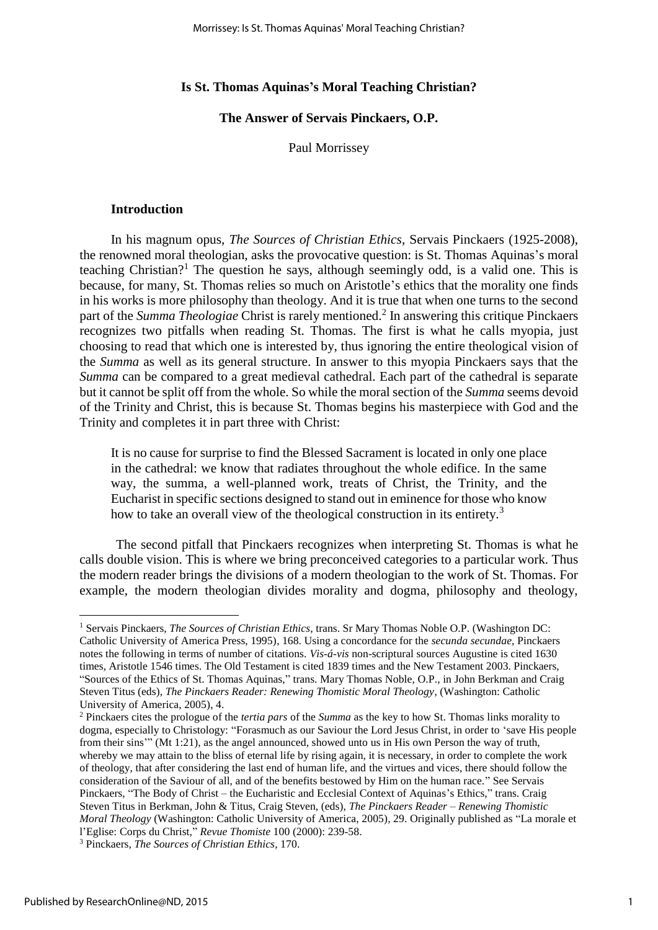#### **Is St. Thomas Aquinas's Moral Teaching Christian?**

**The Answer of Servais Pinckaers, O.P.**

Paul Morrissey

#### **Introduction**

In his magnum opus, *The Sources of Christian Ethics*, Servais Pinckaers (1925-2008), the renowned moral theologian, asks the provocative question: is St. Thomas Aquinas's moral teaching Christian?<sup>1</sup> The question he says, although seemingly odd, is a valid one. This is because, for many, St. Thomas relies so much on Aristotle's ethics that the morality one finds in his works is more philosophy than theology. And it is true that when one turns to the second part of the *Summa Theologiae* Christ is rarely mentioned.<sup>2</sup> In answering this critique Pinckaers recognizes two pitfalls when reading St. Thomas. The first is what he calls myopia, just choosing to read that which one is interested by, thus ignoring the entire theological vision of the *Summa* as well as its general structure. In answer to this myopia Pinckaers says that the *Summa* can be compared to a great medieval cathedral. Each part of the cathedral is separate but it cannot be split off from the whole. So while the moral section of the *Summa* seems devoid of the Trinity and Christ, this is because St. Thomas begins his masterpiece with God and the Trinity and completes it in part three with Christ:

It is no cause for surprise to find the Blessed Sacrament is located in only one place in the cathedral: we know that radiates throughout the whole edifice. In the same way, the summa, a well-planned work, treats of Christ, the Trinity, and the Eucharist in specific sections designed to stand out in eminence for those who know how to take an overall view of the theological construction in its entirety.<sup>3</sup>

 The second pitfall that Pinckaers recognizes when interpreting St. Thomas is what he calls double vision. This is where we bring preconceived categories to a particular work. Thus the modern reader brings the divisions of a modern theologian to the work of St. Thomas. For example, the modern theologian divides morality and dogma, philosophy and theology,

<u>.</u>

<sup>1</sup> Servais Pinckaers, *The Sources of Christian Ethics*, trans. Sr Mary Thomas Noble O.P. (Washington DC: Catholic University of America Press, 1995), 168. Using a concordance for the *secunda secundae*, Pinckaers notes the following in terms of number of citations. *Vis-á-vis* non-scriptural sources Augustine is cited 1630 times, Aristotle 1546 times. The Old Testament is cited 1839 times and the New Testament 2003. Pinckaers, "Sources of the Ethics of St. Thomas Aquinas," trans. Mary Thomas Noble, O.P., in John Berkman and Craig Steven Titus (eds), *The Pinckaers Reader: Renewing Thomistic Moral Theology*, (Washington: Catholic University of America, 2005), 4.

<sup>2</sup> Pinckaers cites the prologue of the *tertia pars* of the *Summa* as the key to how St. Thomas links morality to dogma, especially to Christology: "Forasmuch as our Saviour the Lord Jesus Christ, in order to 'save His people from their sins'" (Mt 1:21), as the angel announced, showed unto us in His own Person the way of truth, whereby we may attain to the bliss of eternal life by rising again, it is necessary, in order to complete the work of theology, that after considering the last end of human life, and the virtues and vices, there should follow the consideration of the Saviour of all, and of the benefits bestowed by Him on the human race." See Servais Pinckaers, "The Body of Christ – the Eucharistic and Ecclesial Context of Aquinas's Ethics," trans. Craig Steven Titus in Berkman, John & Titus, Craig Steven, (eds), *The Pinckaers Reader – Renewing Thomistic Moral Theology* (Washington: Catholic University of America, 2005), 29. Originally published as "La morale et l'Eglise: Corps du Christ," *Revue Thomiste* 100 (2000): 239-58.

<sup>3</sup> Pinckaers, *The Sources of Christian Ethics*, 170.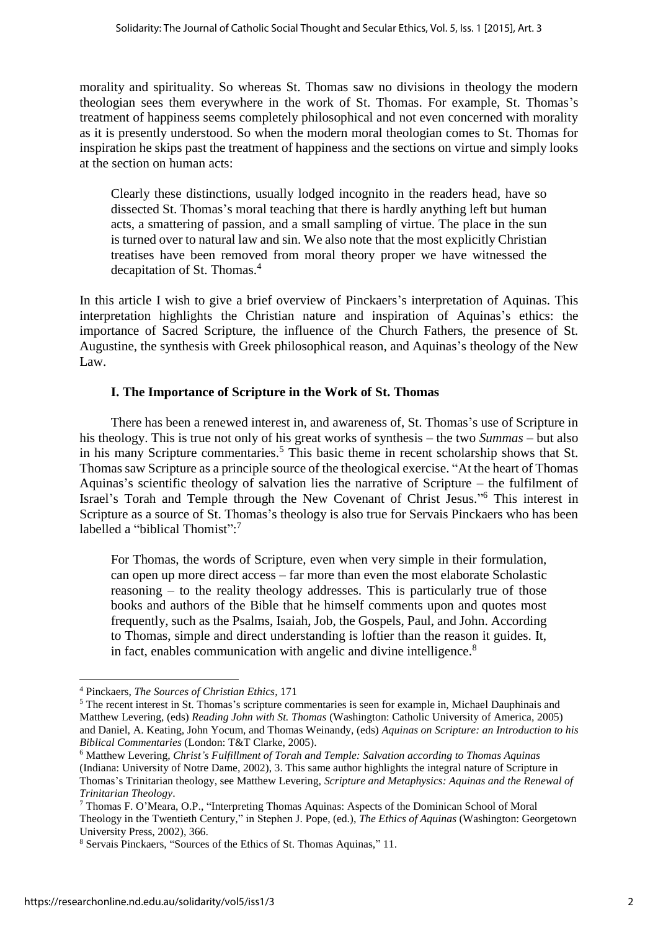morality and spirituality. So whereas St. Thomas saw no divisions in theology the modern theologian sees them everywhere in the work of St. Thomas. For example, St. Thomas's treatment of happiness seems completely philosophical and not even concerned with morality as it is presently understood. So when the modern moral theologian comes to St. Thomas for inspiration he skips past the treatment of happiness and the sections on virtue and simply looks at the section on human acts:

Clearly these distinctions, usually lodged incognito in the readers head, have so dissected St. Thomas's moral teaching that there is hardly anything left but human acts, a smattering of passion, and a small sampling of virtue. The place in the sun is turned over to natural law and sin. We also note that the most explicitly Christian treatises have been removed from moral theory proper we have witnessed the decapitation of St. Thomas.<sup>4</sup>

In this article I wish to give a brief overview of Pinckaers's interpretation of Aquinas. This interpretation highlights the Christian nature and inspiration of Aquinas's ethics: the importance of Sacred Scripture, the influence of the Church Fathers, the presence of St. Augustine, the synthesis with Greek philosophical reason, and Aquinas's theology of the New Law.

#### **I. The Importance of Scripture in the Work of St. Thomas**

There has been a renewed interest in, and awareness of, St. Thomas's use of Scripture in his theology. This is true not only of his great works of synthesis – the two *Summas* – but also in his many Scripture commentaries.<sup>5</sup> This basic theme in recent scholarship shows that St. Thomas saw Scripture as a principle source of the theological exercise. "At the heart of Thomas Aquinas's scientific theology of salvation lies the narrative of Scripture – the fulfilment of Israel's Torah and Temple through the New Covenant of Christ Jesus." <sup>6</sup> This interest in Scripture as a source of St. Thomas's theology is also true for Servais Pinckaers who has been labelled a "biblical Thomist":7

For Thomas, the words of Scripture, even when very simple in their formulation, can open up more direct access – far more than even the most elaborate Scholastic reasoning – to the reality theology addresses. This is particularly true of those books and authors of the Bible that he himself comments upon and quotes most frequently, such as the Psalms, Isaiah, Job, the Gospels, Paul, and John. According to Thomas, simple and direct understanding is loftier than the reason it guides. It, in fact, enables communication with angelic and divine intelligence.<sup>8</sup>

<sup>4</sup> Pinckaers, *The Sources of Christian Ethics*, 171

<sup>5</sup> The recent interest in St. Thomas's scripture commentaries is seen for example in, Michael Dauphinais and Matthew Levering, (eds) *Reading John with St. Thomas* (Washington: Catholic University of America, 2005) and Daniel, A. Keating, John Yocum, and Thomas Weinandy, (eds) *Aquinas on Scripture: an Introduction to his Biblical Commentaries* (London: T&T Clarke, 2005).

<sup>6</sup> Matthew Levering, *Christ's Fulfillment of Torah and Temple: Salvation according to Thomas Aquinas* (Indiana: University of Notre Dame, 2002), 3. This same author highlights the integral nature of Scripture in Thomas's Trinitarian theology, see Matthew Levering, *Scripture and Metaphysics: Aquinas and the Renewal of Trinitarian Theology*.

<sup>7</sup> Thomas F. O'Meara, O.P., "Interpreting Thomas Aquinas: Aspects of the Dominican School of Moral Theology in the Twentieth Century," in Stephen J. Pope, (ed.), *The Ethics of Aquinas* (Washington: Georgetown University Press, 2002), 366.

<sup>8</sup> Servais Pinckaers, "Sources of the Ethics of St. Thomas Aquinas," 11.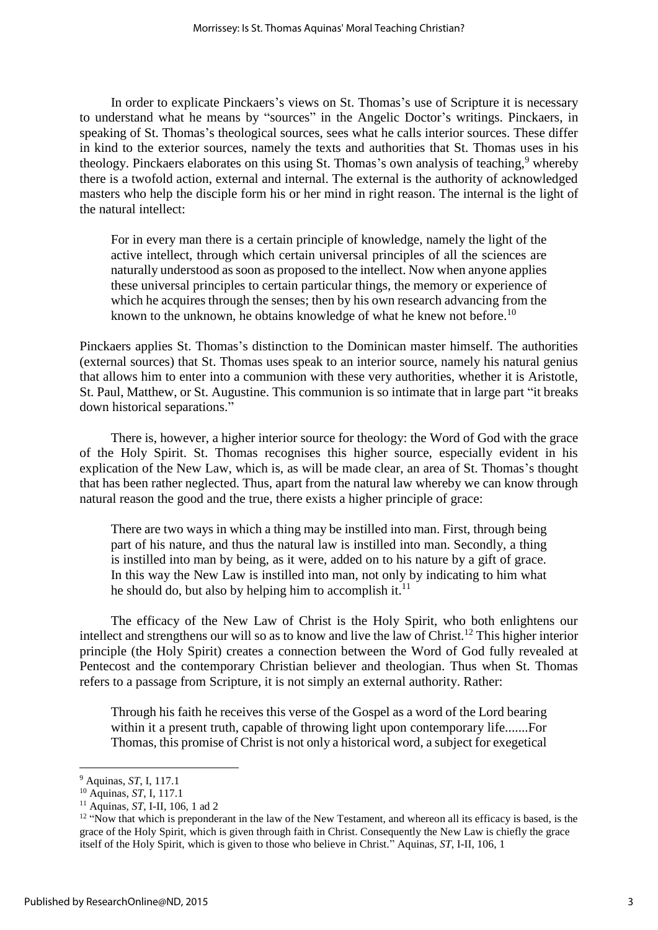In order to explicate Pinckaers's views on St. Thomas's use of Scripture it is necessary to understand what he means by "sources" in the Angelic Doctor's writings. Pinckaers, in speaking of St. Thomas's theological sources, sees what he calls interior sources. These differ in kind to the exterior sources, namely the texts and authorities that St. Thomas uses in his theology. Pinckaers elaborates on this using St. Thomas's own analysis of teaching,  $9$  whereby there is a twofold action, external and internal. The external is the authority of acknowledged masters who help the disciple form his or her mind in right reason. The internal is the light of the natural intellect:

For in every man there is a certain principle of knowledge, namely the light of the active intellect, through which certain universal principles of all the sciences are naturally understood as soon as proposed to the intellect. Now when anyone applies these universal principles to certain particular things, the memory or experience of which he acquires through the senses; then by his own research advancing from the known to the unknown, he obtains knowledge of what he knew not before.<sup>10</sup>

Pinckaers applies St. Thomas's distinction to the Dominican master himself. The authorities (external sources) that St. Thomas uses speak to an interior source, namely his natural genius that allows him to enter into a communion with these very authorities, whether it is Aristotle, St. Paul, Matthew, or St. Augustine. This communion is so intimate that in large part "it breaks down historical separations."

There is, however, a higher interior source for theology: the Word of God with the grace of the Holy Spirit. St. Thomas recognises this higher source, especially evident in his explication of the New Law, which is, as will be made clear, an area of St. Thomas's thought that has been rather neglected. Thus, apart from the natural law whereby we can know through natural reason the good and the true, there exists a higher principle of grace:

There are two ways in which a thing may be instilled into man. First, through being part of his nature, and thus the natural law is instilled into man. Secondly, a thing is instilled into man by being, as it were, added on to his nature by a gift of grace. In this way the New Law is instilled into man, not only by indicating to him what he should do, but also by helping him to accomplish it. $^{11}$ 

The efficacy of the New Law of Christ is the Holy Spirit, who both enlightens our intellect and strengthens our will so as to know and live the law of Christ.<sup>12</sup> This higher interior principle (the Holy Spirit) creates a connection between the Word of God fully revealed at Pentecost and the contemporary Christian believer and theologian. Thus when St. Thomas refers to a passage from Scripture, it is not simply an external authority. Rather:

Through his faith he receives this verse of the Gospel as a word of the Lord bearing within it a present truth, capable of throwing light upon contemporary life.......For Thomas, this promise of Christ is not only a historical word, a subject for exegetical

<sup>9</sup> Aquinas, *ST*, I, 117.1

<sup>10</sup> Aquinas, *ST*, I, 117.1

<sup>11</sup> Aquinas, *ST*, I-II, 106, 1 ad 2

 $12$  "Now that which is preponderant in the law of the New Testament, and whereon all its efficacy is based, is the grace of the Holy Spirit, which is given through faith in Christ. Consequently the New Law is chiefly the grace itself of the Holy Spirit, which is given to those who believe in Christ." Aquinas, *ST*, I-II, 106, 1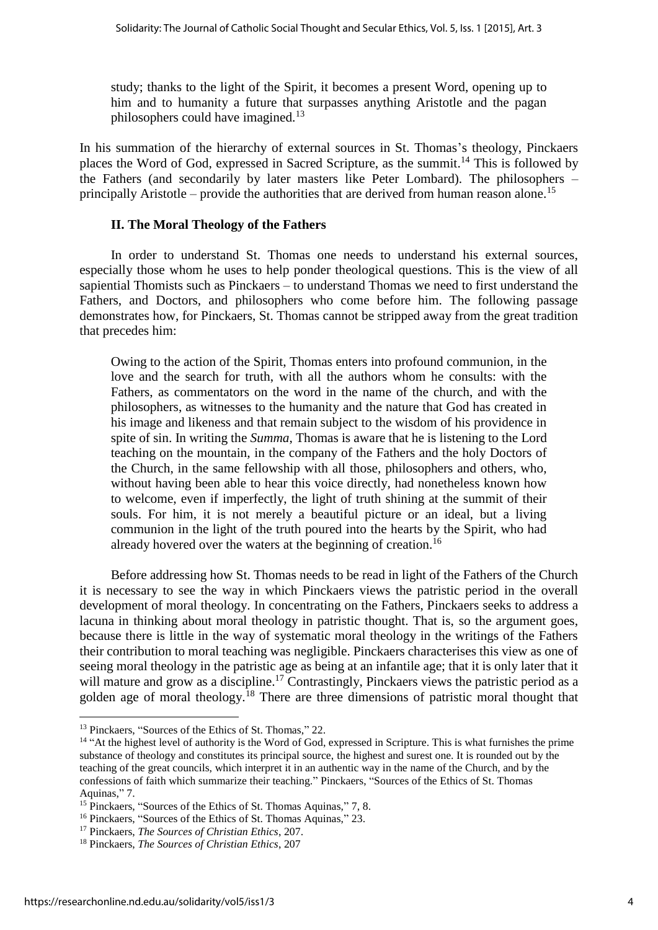study; thanks to the light of the Spirit, it becomes a present Word, opening up to him and to humanity a future that surpasses anything Aristotle and the pagan philosophers could have imagined.<sup>13</sup>

In his summation of the hierarchy of external sources in St. Thomas's theology, Pinckaers places the Word of God, expressed in Sacred Scripture, as the summit.<sup>14</sup> This is followed by the Fathers (and secondarily by later masters like Peter Lombard). The philosophers – principally Aristotle – provide the authorities that are derived from human reason alone.<sup>15</sup>

#### **II. The Moral Theology of the Fathers**

In order to understand St. Thomas one needs to understand his external sources, especially those whom he uses to help ponder theological questions. This is the view of all sapiential Thomists such as Pinckaers – to understand Thomas we need to first understand the Fathers, and Doctors, and philosophers who come before him. The following passage demonstrates how, for Pinckaers, St. Thomas cannot be stripped away from the great tradition that precedes him:

Owing to the action of the Spirit, Thomas enters into profound communion, in the love and the search for truth, with all the authors whom he consults: with the Fathers, as commentators on the word in the name of the church, and with the philosophers, as witnesses to the humanity and the nature that God has created in his image and likeness and that remain subject to the wisdom of his providence in spite of sin. In writing the *Summa*, Thomas is aware that he is listening to the Lord teaching on the mountain, in the company of the Fathers and the holy Doctors of the Church, in the same fellowship with all those, philosophers and others, who, without having been able to hear this voice directly, had nonetheless known how to welcome, even if imperfectly, the light of truth shining at the summit of their souls. For him, it is not merely a beautiful picture or an ideal, but a living communion in the light of the truth poured into the hearts by the Spirit, who had already hovered over the waters at the beginning of creation.<sup>16</sup>

Before addressing how St. Thomas needs to be read in light of the Fathers of the Church it is necessary to see the way in which Pinckaers views the patristic period in the overall development of moral theology. In concentrating on the Fathers, Pinckaers seeks to address a lacuna in thinking about moral theology in patristic thought. That is, so the argument goes, because there is little in the way of systematic moral theology in the writings of the Fathers their contribution to moral teaching was negligible. Pinckaers characterises this view as one of seeing moral theology in the patristic age as being at an infantile age; that it is only later that it will mature and grow as a discipline.<sup>17</sup> Contrastingly, Pinckaers views the patristic period as a golden age of moral theology.<sup>18</sup> There are three dimensions of patristic moral thought that

<sup>&</sup>lt;sup>13</sup> Pinckaers, "Sources of the Ethics of St. Thomas," 22.

<sup>&</sup>lt;sup>14</sup> "At the highest level of authority is the Word of God, expressed in Scripture. This is what furnishes the prime substance of theology and constitutes its principal source, the highest and surest one. It is rounded out by the teaching of the great councils, which interpret it in an authentic way in the name of the Church, and by the confessions of faith which summarize their teaching." Pinckaers, "Sources of the Ethics of St. Thomas Aquinas," 7.

<sup>&</sup>lt;sup>15</sup> Pinckaers, "Sources of the Ethics of St. Thomas Aquinas," 7, 8.

<sup>16</sup> Pinckaers, "Sources of the Ethics of St. Thomas Aquinas," 23.

<sup>17</sup> Pinckaers, *The Sources of Christian Ethics*, 207.

<sup>18</sup> Pinckaers, *The Sources of Christian Ethics*, 207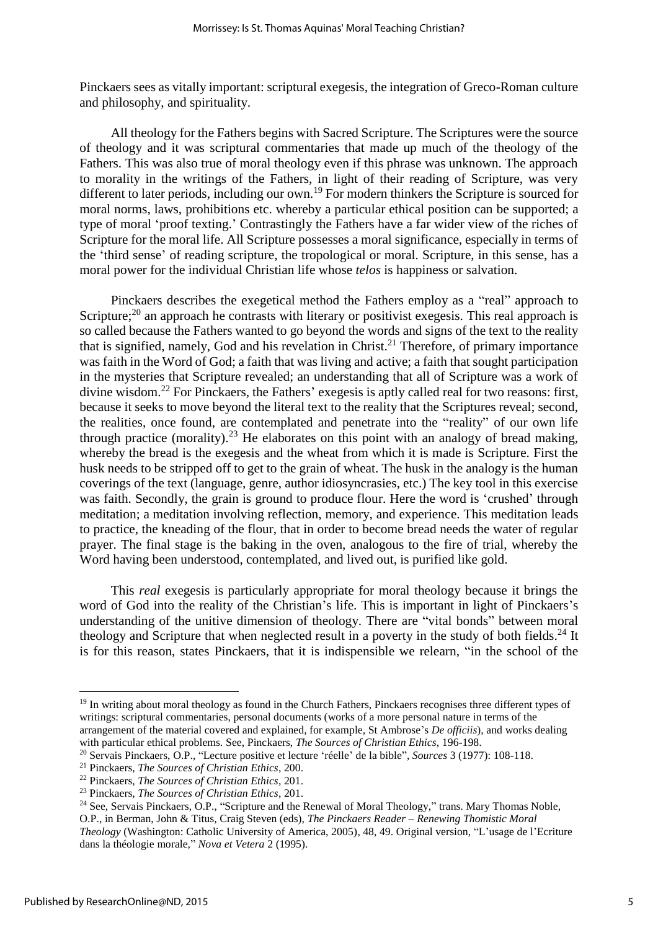Pinckaers sees as vitally important: scriptural exegesis, the integration of Greco-Roman culture and philosophy, and spirituality.

All theology for the Fathers begins with Sacred Scripture. The Scriptures were the source of theology and it was scriptural commentaries that made up much of the theology of the Fathers. This was also true of moral theology even if this phrase was unknown. The approach to morality in the writings of the Fathers, in light of their reading of Scripture, was very different to later periods, including our own.<sup>19</sup> For modern thinkers the Scripture is sourced for moral norms, laws, prohibitions etc. whereby a particular ethical position can be supported; a type of moral 'proof texting.' Contrastingly the Fathers have a far wider view of the riches of Scripture for the moral life. All Scripture possesses a moral significance, especially in terms of the 'third sense' of reading scripture, the tropological or moral. Scripture, in this sense, has a moral power for the individual Christian life whose *telos* is happiness or salvation.

Pinckaers describes the exegetical method the Fathers employ as a "real" approach to Scripture;<sup>20</sup> an approach he contrasts with literary or positivist exegesis. This real approach is so called because the Fathers wanted to go beyond the words and signs of the text to the reality that is signified, namely. God and his revelation in Christ.<sup>21</sup> Therefore, of primary importance was faith in the Word of God; a faith that was living and active; a faith that sought participation in the mysteries that Scripture revealed; an understanding that all of Scripture was a work of divine wisdom.<sup>22</sup> For Pinckaers, the Fathers' exegesis is aptly called real for two reasons: first, because it seeks to move beyond the literal text to the reality that the Scriptures reveal; second, the realities, once found, are contemplated and penetrate into the "reality" of our own life through practice (morality).<sup>23</sup> He elaborates on this point with an analogy of bread making, whereby the bread is the exegesis and the wheat from which it is made is Scripture. First the husk needs to be stripped off to get to the grain of wheat. The husk in the analogy is the human coverings of the text (language, genre, author idiosyncrasies, etc.) The key tool in this exercise was faith. Secondly, the grain is ground to produce flour. Here the word is 'crushed' through meditation; a meditation involving reflection, memory, and experience. This meditation leads to practice, the kneading of the flour, that in order to become bread needs the water of regular prayer. The final stage is the baking in the oven, analogous to the fire of trial, whereby the Word having been understood, contemplated, and lived out, is purified like gold.

This *real* exegesis is particularly appropriate for moral theology because it brings the word of God into the reality of the Christian's life. This is important in light of Pinckaers's understanding of the unitive dimension of theology. There are "vital bonds" between moral theology and Scripture that when neglected result in a poverty in the study of both fields.<sup>24</sup> It is for this reason, states Pinckaers, that it is indispensible we relearn, "in the school of the

<sup>&</sup>lt;sup>19</sup> In writing about moral theology as found in the Church Fathers, Pinckaers recognises three different types of writings: scriptural commentaries, personal documents (works of a more personal nature in terms of the arrangement of the material covered and explained, for example, St Ambrose's *De officiis*), and works dealing with particular ethical problems. See, Pinckaers, *The Sources of Christian Ethics*, 196-198.

<sup>20</sup> Servais Pinckaers, O.P., "Lecture positive et lecture 'réelle' de la bible", *Sources* 3 (1977): 108-118.

<sup>21</sup> Pinckaers, *The Sources of Christian Ethics*, 200.

<sup>22</sup> Pinckaers, *The Sources of Christian Ethics*, 201.

<sup>23</sup> Pinckaers, *The Sources of Christian Ethics*, 201.

<sup>&</sup>lt;sup>24</sup> See, Servais Pinckaers, O.P., "Scripture and the Renewal of Moral Theology," trans. Mary Thomas Noble, O.P., in Berman, John & Titus, Craig Steven (eds), *The Pinckaers Reader – Renewing Thomistic Moral Theology* (Washington: Catholic University of America, 2005), 48, 49. Original version, "L'usage de l'Ecriture dans la théologie morale," *Nova et Vetera* 2 (1995).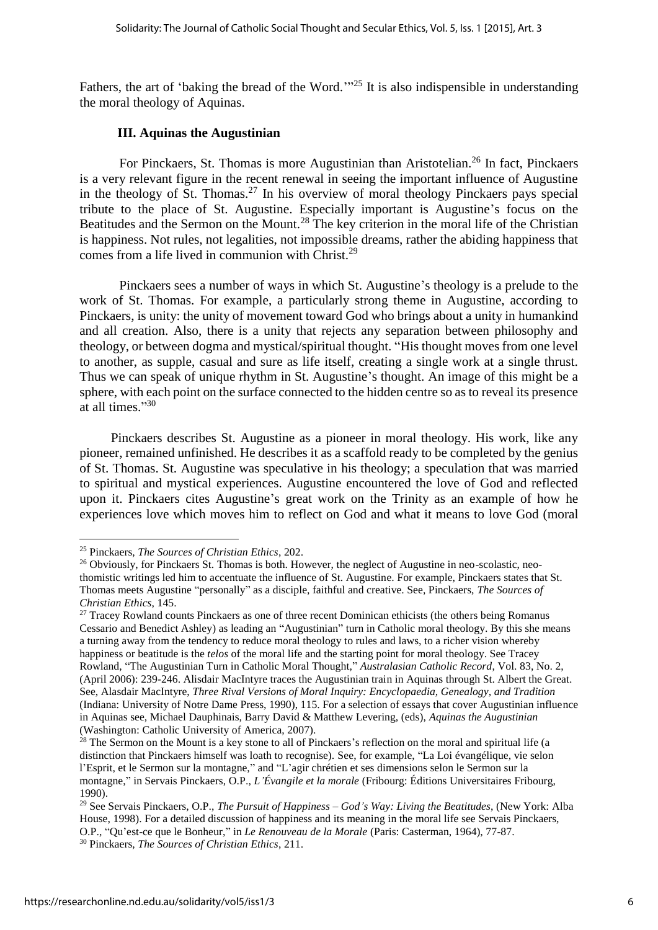Fathers, the art of 'baking the bread of the Word.'"<sup>25</sup> It is also indispensible in understanding the moral theology of Aquinas.

#### **III. Aquinas the Augustinian**

For Pinckaers, St. Thomas is more Augustinian than Aristotelian.<sup>26</sup> In fact, Pinckaers is a very relevant figure in the recent renewal in seeing the important influence of Augustine in the theology of St. Thomas.<sup>27</sup> In his overview of moral theology Pinckaers pays special tribute to the place of St. Augustine. Especially important is Augustine's focus on the Beatitudes and the Sermon on the Mount.<sup>28</sup> The key criterion in the moral life of the Christian is happiness. Not rules, not legalities, not impossible dreams, rather the abiding happiness that comes from a life lived in communion with Christ.<sup>29</sup>

Pinckaers sees a number of ways in which St. Augustine's theology is a prelude to the work of St. Thomas. For example, a particularly strong theme in Augustine, according to Pinckaers, is unity: the unity of movement toward God who brings about a unity in humankind and all creation. Also, there is a unity that rejects any separation between philosophy and theology, or between dogma and mystical/spiritual thought. "His thought moves from one level to another, as supple, casual and sure as life itself, creating a single work at a single thrust. Thus we can speak of unique rhythm in St. Augustine's thought. An image of this might be a sphere, with each point on the surface connected to the hidden centre so as to reveal its presence at all times." 30

Pinckaers describes St. Augustine as a pioneer in moral theology. His work, like any pioneer, remained unfinished. He describes it as a scaffold ready to be completed by the genius of St. Thomas. St. Augustine was speculative in his theology; a speculation that was married to spiritual and mystical experiences. Augustine encountered the love of God and reflected upon it. Pinckaers cites Augustine's great work on the Trinity as an example of how he experiences love which moves him to reflect on God and what it means to love God (moral

<u>.</u>

<sup>25</sup> Pinckaers, *The Sources of Christian Ethics*, 202.

<sup>&</sup>lt;sup>26</sup> Obviously, for Pinckaers St. Thomas is both. However, the neglect of Augustine in neo-scolastic, neothomistic writings led him to accentuate the influence of St. Augustine. For example, Pinckaers states that St. Thomas meets Augustine "personally" as a disciple, faithful and creative. See, Pinckaers, *The Sources of Christian Ethics*, 145.

<sup>&</sup>lt;sup>27</sup> Tracey Rowland counts Pinckaers as one of three recent Dominican ethicists (the others being Romanus Cessario and Benedict Ashley) as leading an "Augustinian" turn in Catholic moral theology. By this she means a turning away from the tendency to reduce moral theology to rules and laws, to a richer vision whereby happiness or beatitude is the *telos* of the moral life and the starting point for moral theology. See Tracey Rowland, "The Augustinian Turn in Catholic Moral Thought," *Australasian Catholic Record*, Vol. 83, No. 2, (April 2006): 239-246. Alisdair MacIntyre traces the Augustinian train in Aquinas through St. Albert the Great. See, Alasdair MacIntyre, *Three Rival Versions of Moral Inquiry: Encyclopaedia, Genealogy, and Tradition* (Indiana: University of Notre Dame Press, 1990), 115. For a selection of essays that cover Augustinian influence in Aquinas see, Michael Dauphinais, Barry David & Matthew Levering, (eds), *Aquinas the Augustinian* (Washington: Catholic University of America, 2007).

<sup>&</sup>lt;sup>28</sup> The Sermon on the Mount is a key stone to all of Pinckaers's reflection on the moral and spiritual life (a distinction that Pinckaers himself was loath to recognise). See, for example, "La Loi évangélique, vie selon l'Esprit, et le Sermon sur la montagne," and "L'agir chrétien et ses dimensions selon le Sermon sur la montagne," in Servais Pinckaers, O.P., *L'Évangile et la morale* (Fribourg: Éditions Universitaires Fribourg, 1990).

<sup>29</sup> See Servais Pinckaers, O.P., *The Pursuit of Happiness – God's Way: Living the Beatitudes*, (New York: Alba House, 1998). For a detailed discussion of happiness and its meaning in the moral life see Servais Pinckaers, O.P., "Qu'est-ce que le Bonheur," in *Le Renouveau de la Morale* (Paris: Casterman, 1964), 77-87. <sup>30</sup> Pinckaers, *The Sources of Christian Ethics*, 211.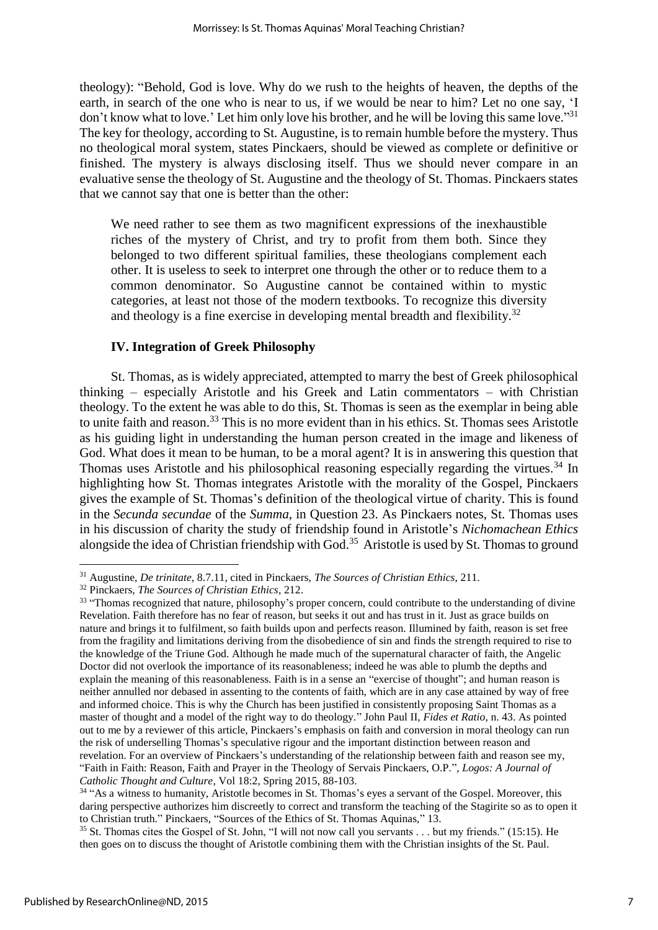theology): "Behold, God is love. Why do we rush to the heights of heaven, the depths of the earth, in search of the one who is near to us, if we would be near to him? Let no one say, 'I don't know what to love.' Let him only love his brother, and he will be loving this same love."<sup>31</sup> The key for theology, according to St. Augustine, is to remain humble before the mystery. Thus no theological moral system, states Pinckaers, should be viewed as complete or definitive or finished. The mystery is always disclosing itself. Thus we should never compare in an evaluative sense the theology of St. Augustine and the theology of St. Thomas. Pinckaers states that we cannot say that one is better than the other:

We need rather to see them as two magnificent expressions of the inexhaustible riches of the mystery of Christ, and try to profit from them both. Since they belonged to two different spiritual families, these theologians complement each other. It is useless to seek to interpret one through the other or to reduce them to a common denominator. So Augustine cannot be contained within to mystic categories, at least not those of the modern textbooks. To recognize this diversity and theology is a fine exercise in developing mental breadth and flexibility.<sup>32</sup>

#### **IV. Integration of Greek Philosophy**

St. Thomas, as is widely appreciated, attempted to marry the best of Greek philosophical thinking – especially Aristotle and his Greek and Latin commentators – with Christian theology. To the extent he was able to do this, St. Thomas is seen as the exemplar in being able to unite faith and reason.<sup>33</sup> This is no more evident than in his ethics. St. Thomas sees Aristotle as his guiding light in understanding the human person created in the image and likeness of God. What does it mean to be human, to be a moral agent? It is in answering this question that Thomas uses Aristotle and his philosophical reasoning especially regarding the virtues.<sup>34</sup> In highlighting how St. Thomas integrates Aristotle with the morality of the Gospel, Pinckaers gives the example of St. Thomas's definition of the theological virtue of charity. This is found in the *Secunda secundae* of the *Summa*, in Question 23. As Pinckaers notes, St. Thomas uses in his discussion of charity the study of friendship found in Aristotle's *Nichomachean Ethics* alongside the idea of Christian friendship with God.<sup>35</sup> Aristotle is used by St. Thomas to ground

<sup>31</sup> Augustine, *De trinitate*, 8.7.11, cited in Pinckaers, *The Sources of Christian Ethics*, 211.

<sup>32</sup> Pinckaers, *The Sources of Christian Ethics*, 212.

<sup>&</sup>lt;sup>33</sup> "Thomas recognized that nature, philosophy's proper concern, could contribute to the understanding of divine Revelation. Faith therefore has no fear of reason, but seeks it out and has trust in it. Just as grace builds on nature and brings it to fulfilment, so faith builds upon and perfects reason. Illumined by faith, reason is set free from the fragility and limitations deriving from the disobedience of sin and finds the strength required to rise to the knowledge of the Triune God. Although he made much of the supernatural character of faith, the Angelic Doctor did not overlook the importance of its reasonableness; indeed he was able to plumb the depths and explain the meaning of this reasonableness. Faith is in a sense an "exercise of thought"; and human reason is neither annulled nor debased in assenting to the contents of faith, which are in any case attained by way of free and informed choice. This is why the Church has been justified in consistently proposing Saint Thomas as a master of thought and a model of the right way to do theology." John Paul II, *Fides et Ratio*, n. 43. As pointed out to me by a reviewer of this article, Pinckaers's emphasis on faith and conversion in moral theology can run the risk of underselling Thomas's speculative rigour and the important distinction between reason and revelation. For an overview of Pinckaers's understanding of the relationship between faith and reason see my, "Faith in Faith: Reason, Faith and Prayer in the Theology of Servais Pinckaers, O.P.", *Logos: A Journal of Catholic Thought and Culture*, Vol 18:2, Spring 2015, 88-103.

<sup>&</sup>lt;sup>34</sup> "As a witness to humanity, Aristotle becomes in St. Thomas's eyes a servant of the Gospel. Moreover, this daring perspective authorizes him discreetly to correct and transform the teaching of the Stagirite so as to open it to Christian truth." Pinckaers, "Sources of the Ethics of St. Thomas Aquinas," 13.

<sup>&</sup>lt;sup>35</sup> St. Thomas cites the Gospel of St. John, "I will not now call you servants . . . but my friends." (15:15). He then goes on to discuss the thought of Aristotle combining them with the Christian insights of the St. Paul.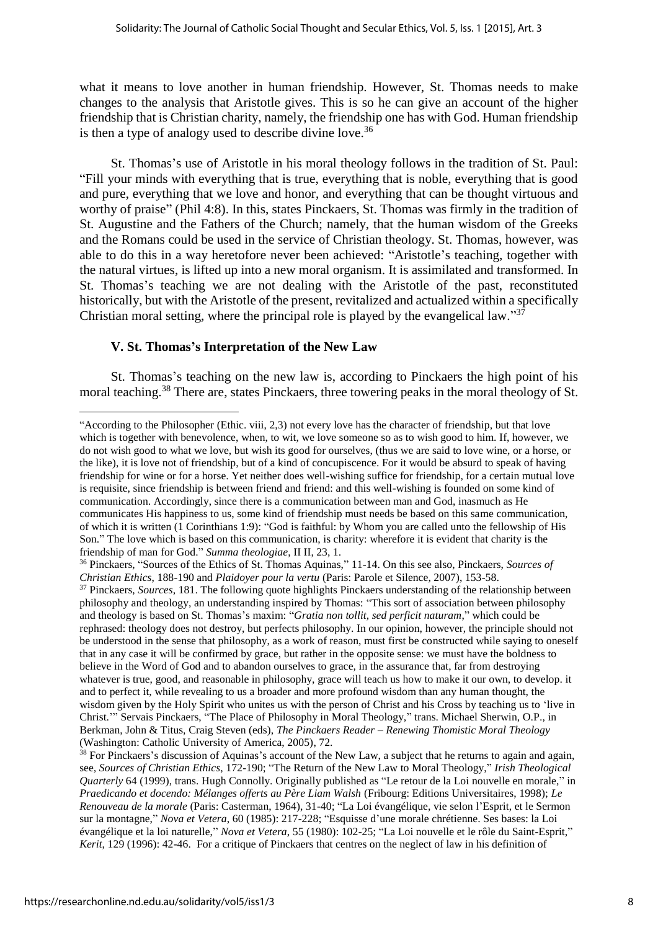what it means to love another in human friendship. However, St. Thomas needs to make changes to the analysis that Aristotle gives. This is so he can give an account of the higher friendship that is Christian charity, namely, the friendship one has with God. Human friendship is then a type of analogy used to describe divine love.<sup>36</sup>

St. Thomas's use of Aristotle in his moral theology follows in the tradition of St. Paul: "Fill your minds with everything that is true, everything that is noble, everything that is good and pure, everything that we love and honor, and everything that can be thought virtuous and worthy of praise" (Phil 4:8). In this, states Pinckaers, St. Thomas was firmly in the tradition of St. Augustine and the Fathers of the Church; namely, that the human wisdom of the Greeks and the Romans could be used in the service of Christian theology. St. Thomas, however, was able to do this in a way heretofore never been achieved: "Aristotle's teaching, together with the natural virtues, is lifted up into a new moral organism. It is assimilated and transformed. In St. Thomas's teaching we are not dealing with the Aristotle of the past, reconstituted historically, but with the Aristotle of the present, revitalized and actualized within a specifically Christian moral setting, where the principal role is played by the evangelical law."<sup>37</sup>

### **V. St. Thomas's Interpretation of the New Law**

St. Thomas's teaching on the new law is, according to Pinckaers the high point of his moral teaching.<sup>38</sup> There are, states Pinckaers, three towering peaks in the moral theology of St.

<sup>&</sup>quot;According to the Philosopher (Ethic. viii, 2,3) not every love has the character of friendship, but that love which is together with benevolence, when, to wit, we love someone so as to wish good to him. If, however, we do not wish good to what we love, but wish its good for ourselves, (thus we are said to love wine, or a horse, or the like), it is love not of friendship, but of a kind of concupiscence. For it would be absurd to speak of having friendship for wine or for a horse. Yet neither does well-wishing suffice for friendship, for a certain mutual love is requisite, since friendship is between friend and friend: and this well-wishing is founded on some kind of communication. Accordingly, since there is a communication between man and God, inasmuch as He communicates His happiness to us, some kind of friendship must needs be based on this same communication, of which it is written (1 Corinthians 1:9): "God is faithful: by Whom you are called unto the fellowship of His Son." The love which is based on this communication, is charity: wherefore it is evident that charity is the friendship of man for God." *Summa theologiae*, II II, 23, 1.

<sup>36</sup> Pinckaers, "Sources of the Ethics of St. Thomas Aquinas," 11-14. On this see also, Pinckaers, *Sources of Christian Ethics*, 188-190 and *Plaidoyer pour la vertu* (Paris: Parole et Silence, 2007), 153-58.

<sup>37</sup> Pinckaers, *Sources*, 181. The following quote highlights Pinckaers understanding of the relationship between philosophy and theology, an understanding inspired by Thomas: "This sort of association between philosophy and theology is based on St. Thomas's maxim: "*Gratia non tollit, sed perficit naturam*," which could be rephrased: theology does not destroy, but perfects philosophy. In our opinion, however, the principle should not be understood in the sense that philosophy, as a work of reason, must first be constructed while saying to oneself that in any case it will be confirmed by grace, but rather in the opposite sense: we must have the boldness to believe in the Word of God and to abandon ourselves to grace, in the assurance that, far from destroying whatever is true, good, and reasonable in philosophy, grace will teach us how to make it our own, to develop. it and to perfect it, while revealing to us a broader and more profound wisdom than any human thought, the wisdom given by the Holy Spirit who unites us with the person of Christ and his Cross by teaching us to 'live in Christ.'" Servais Pinckaers, "The Place of Philosophy in Moral Theology," trans. Michael Sherwin, O.P., in Berkman, John & Titus, Craig Steven (eds), *The Pinckaers Reader – Renewing Thomistic Moral Theology* (Washington: Catholic University of America, 2005), 72.

<sup>&</sup>lt;sup>38</sup> For Pinckaers's discussion of Aquinas's account of the New Law, a subject that he returns to again and again, see*, Sources of Christian Ethics*, 172-190; "The Return of the New Law to Moral Theology," *Irish Theological Quarterly* 64 (1999), trans. Hugh Connolly. Originally published as "Le retour de la Loi nouvelle en morale," in *Praedicando et docendo: Mélanges offerts au Père Liam Walsh* (Fribourg: Editions Universitaires, 1998); *Le Renouveau de la morale* (Paris: Casterman, 1964), 31-40; "La Loi évangélique, vie selon l'Esprit, et le Sermon sur la montagne," *Nova et Vetera*, 60 (1985): 217-228; "Esquisse d'une morale chrétienne. Ses bases: la Loi évangélique et la loi naturelle," *Nova et Vetera*, 55 (1980): 102-25; "La Loi nouvelle et le rôle du Saint-Esprit," *Kerit*, 129 (1996): 42-46. For a critique of Pinckaers that centres on the neglect of law in his definition of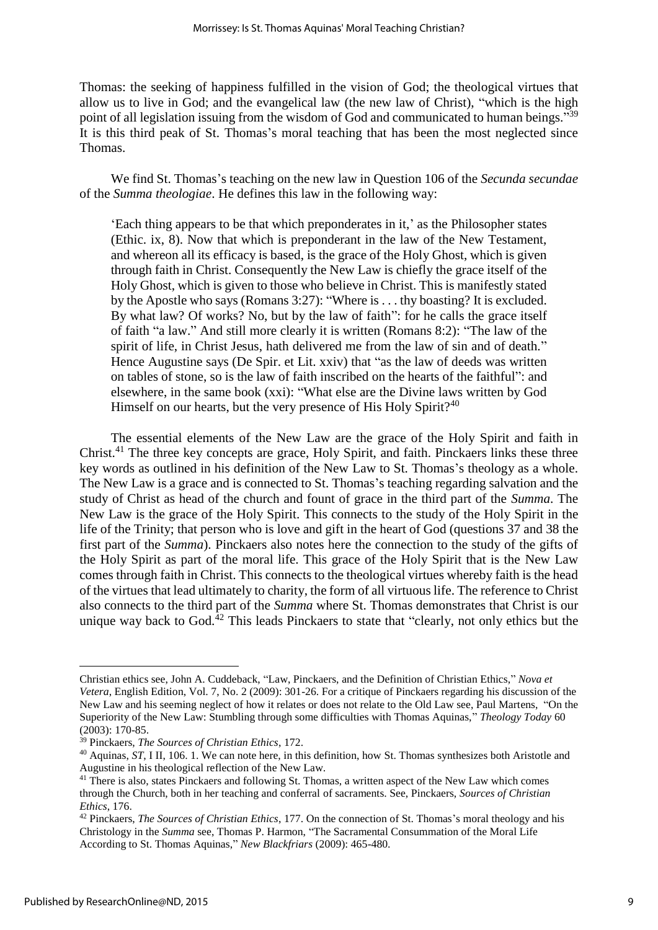Thomas: the seeking of happiness fulfilled in the vision of God; the theological virtues that allow us to live in God; and the evangelical law (the new law of Christ), "which is the high point of all legislation issuing from the wisdom of God and communicated to human beings."<sup>39</sup> It is this third peak of St. Thomas's moral teaching that has been the most neglected since Thomas.

We find St. Thomas's teaching on the new law in Question 106 of the *Secunda secundae* of the *Summa theologiae*. He defines this law in the following way:

'Each thing appears to be that which preponderates in it,' as the Philosopher states (Ethic. ix, 8). Now that which is preponderant in the law of the New Testament, and whereon all its efficacy is based, is the grace of the Holy Ghost, which is given through faith in Christ. Consequently the New Law is chiefly the grace itself of the Holy Ghost, which is given to those who believe in Christ. This is manifestly stated by the Apostle who says (Romans 3:27): "Where is . . . thy boasting? It is excluded. By what law? Of works? No, but by the law of faith": for he calls the grace itself of faith "a law." And still more clearly it is written (Romans 8:2): "The law of the spirit of life, in Christ Jesus, hath delivered me from the law of sin and of death." Hence Augustine says (De Spir. et Lit. xxiv) that "as the law of deeds was written on tables of stone, so is the law of faith inscribed on the hearts of the faithful": and elsewhere, in the same book (xxi): "What else are the Divine laws written by God Himself on our hearts, but the very presence of His Holy Spirit?<sup>40</sup>

The essential elements of the New Law are the grace of the Holy Spirit and faith in Christ.<sup>41</sup> The three key concepts are grace, Holy Spirit, and faith. Pinckaers links these three key words as outlined in his definition of the New Law to St. Thomas's theology as a whole. The New Law is a grace and is connected to St. Thomas's teaching regarding salvation and the study of Christ as head of the church and fount of grace in the third part of the *Summa*. The New Law is the grace of the Holy Spirit. This connects to the study of the Holy Spirit in the life of the Trinity; that person who is love and gift in the heart of God (questions 37 and 38 the first part of the *Summa*). Pinckaers also notes here the connection to the study of the gifts of the Holy Spirit as part of the moral life. This grace of the Holy Spirit that is the New Law comes through faith in Christ. This connects to the theological virtues whereby faith is the head of the virtues that lead ultimately to charity, the form of all virtuous life. The reference to Christ also connects to the third part of the *Summa* where St. Thomas demonstrates that Christ is our unique way back to God. $^{42}$  This leads Pinckaers to state that "clearly, not only ethics but the

<u>.</u>

Christian ethics see, John A. Cuddeback, "Law, Pinckaers, and the Definition of Christian Ethics," *Nova et Vetera*, English Edition, Vol. 7, No. 2 (2009): 301-26. For a critique of Pinckaers regarding his discussion of the New Law and his seeming neglect of how it relates or does not relate to the Old Law see, Paul Martens, "On the Superiority of the New Law: Stumbling through some difficulties with Thomas Aquinas," *Theology Today* 60 (2003): 170-85.

<sup>39</sup> Pinckaers, *The Sources of Christian Ethics*, 172.

<sup>&</sup>lt;sup>40</sup> Aquinas, *ST*, I II, 106. 1. We can note here, in this definition, how St. Thomas synthesizes both Aristotle and Augustine in his theological reflection of the New Law.

<sup>&</sup>lt;sup>41</sup> There is also, states Pinckaers and following St. Thomas, a written aspect of the New Law which comes through the Church, both in her teaching and conferral of sacraments. See, Pinckaers, *Sources of Christian Ethics*, 176.

<sup>42</sup> Pinckaers, *The Sources of Christian Ethics*, 177. On the connection of St. Thomas's moral theology and his Christology in the *Summa* see, Thomas P. Harmon, "The Sacramental Consummation of the Moral Life According to St. Thomas Aquinas," *New Blackfriars* (2009): 465-480.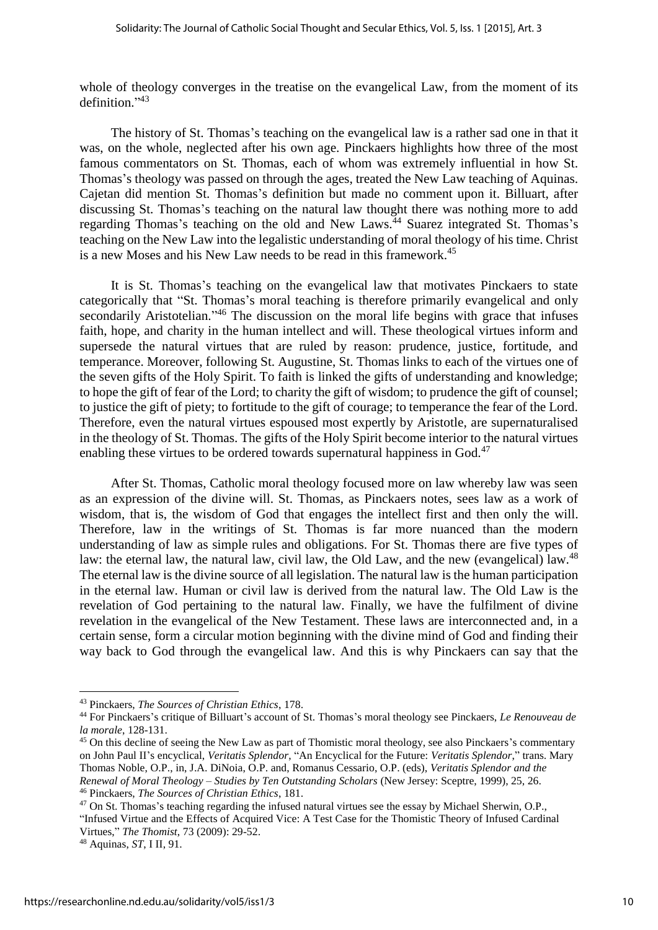whole of theology converges in the treatise on the evangelical Law, from the moment of its definition." 43

The history of St. Thomas's teaching on the evangelical law is a rather sad one in that it was, on the whole, neglected after his own age. Pinckaers highlights how three of the most famous commentators on St. Thomas, each of whom was extremely influential in how St. Thomas's theology was passed on through the ages, treated the New Law teaching of Aquinas. Cajetan did mention St. Thomas's definition but made no comment upon it. Billuart, after discussing St. Thomas's teaching on the natural law thought there was nothing more to add regarding Thomas's teaching on the old and New Laws.<sup>44</sup> Suarez integrated St. Thomas's teaching on the New Law into the legalistic understanding of moral theology of his time. Christ is a new Moses and his New Law needs to be read in this framework.<sup>45</sup>

It is St. Thomas's teaching on the evangelical law that motivates Pinckaers to state categorically that "St. Thomas's moral teaching is therefore primarily evangelical and only secondarily Aristotelian."<sup>46</sup> The discussion on the moral life begins with grace that infuses faith, hope, and charity in the human intellect and will. These theological virtues inform and supersede the natural virtues that are ruled by reason: prudence, justice, fortitude, and temperance. Moreover, following St. Augustine, St. Thomas links to each of the virtues one of the seven gifts of the Holy Spirit. To faith is linked the gifts of understanding and knowledge; to hope the gift of fear of the Lord; to charity the gift of wisdom; to prudence the gift of counsel; to justice the gift of piety; to fortitude to the gift of courage; to temperance the fear of the Lord. Therefore, even the natural virtues espoused most expertly by Aristotle, are supernaturalised in the theology of St. Thomas. The gifts of the Holy Spirit become interior to the natural virtues enabling these virtues to be ordered towards supernatural happiness in God.<sup>47</sup>

After St. Thomas, Catholic moral theology focused more on law whereby law was seen as an expression of the divine will. St. Thomas, as Pinckaers notes, sees law as a work of wisdom, that is, the wisdom of God that engages the intellect first and then only the will. Therefore, law in the writings of St. Thomas is far more nuanced than the modern understanding of law as simple rules and obligations. For St. Thomas there are five types of law: the eternal law, the natural law, civil law, the Old Law, and the new (evangelical) law.<sup>48</sup> The eternal law is the divine source of all legislation. The natural law is the human participation in the eternal law. Human or civil law is derived from the natural law. The Old Law is the revelation of God pertaining to the natural law. Finally, we have the fulfilment of divine revelation in the evangelical of the New Testament. These laws are interconnected and, in a certain sense, form a circular motion beginning with the divine mind of God and finding their way back to God through the evangelical law. And this is why Pinckaers can say that the

<sup>43</sup> Pinckaers, *The Sources of Christian Ethics*, 178.

<sup>44</sup> For Pinckaers's critique of Billuart's account of St. Thomas's moral theology see Pinckaers, *Le Renouveau de la morale*, 128-131.

<sup>&</sup>lt;sup>45</sup> On this decline of seeing the New Law as part of Thomistic moral theology, see also Pinckaers's commentary on John Paul II's encyclical, *Veritatis Splendor*, "An Encyclical for the Future: *Veritatis Splendor*," trans. Mary Thomas Noble, O.P., in, J.A. DiNoia, O.P. and, Romanus Cessario, O.P. (eds), *Veritatis Splendor and the Renewal of Moral Theology – Studies by Ten Outstanding Scholars* (New Jersey: Sceptre, 1999), 25, 26. <sup>46</sup> Pinckaers, *The Sources of Christian Ethics*, 181.

<sup>&</sup>lt;sup>47</sup> On St. Thomas's teaching regarding the infused natural virtues see the essay by Michael Sherwin, O.P., "Infused Virtue and the Effects of Acquired Vice: A Test Case for the Thomistic Theory of Infused Cardinal Virtues," *The Thomist*, 73 (2009): 29-52.

<sup>48</sup> Aquinas, *ST*, I II, 91.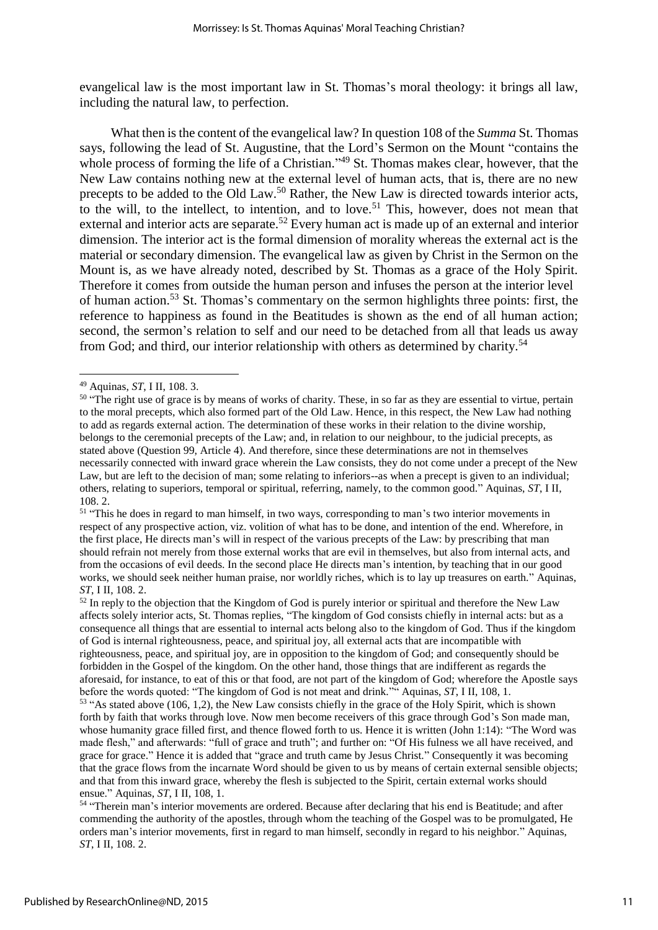evangelical law is the most important law in St. Thomas's moral theology: it brings all law, including the natural law, to perfection.

What then is the content of the evangelical law? In question 108 of the *Summa* St. Thomas says, following the lead of St. Augustine, that the Lord's Sermon on the Mount "contains the whole process of forming the life of a Christian."<sup>49</sup> St. Thomas makes clear, however, that the New Law contains nothing new at the external level of human acts, that is, there are no new precepts to be added to the Old Law.<sup>50</sup> Rather, the New Law is directed towards interior acts, to the will, to the intellect, to intention, and to love.<sup>51</sup> This, however, does not mean that external and interior acts are separate.<sup>52</sup> Every human act is made up of an external and interior dimension. The interior act is the formal dimension of morality whereas the external act is the material or secondary dimension. The evangelical law as given by Christ in the Sermon on the Mount is, as we have already noted, described by St. Thomas as a grace of the Holy Spirit. Therefore it comes from outside the human person and infuses the person at the interior level of human action.<sup>53</sup> St. Thomas's commentary on the sermon highlights three points: first, the reference to happiness as found in the Beatitudes is shown as the end of all human action; second, the sermon's relation to self and our need to be detached from all that leads us away from God; and third, our interior relationship with others as determined by charity.<sup>54</sup>

1

<sup>52</sup> In reply to the objection that the Kingdom of God is purely interior or spiritual and therefore the New Law affects solely interior acts, St. Thomas replies, "The kingdom of God consists chiefly in internal acts: but as a consequence all things that are essential to internal acts belong also to the kingdom of God. Thus if the kingdom of God is internal righteousness, peace, and spiritual joy, all external acts that are incompatible with righteousness, peace, and spiritual joy, are in opposition to the kingdom of God; and consequently should be forbidden in the Gospel of the kingdom. On the other hand, those things that are indifferent as regards the aforesaid, for instance, to eat of this or that food, are not part of the kingdom of God; wherefore the Apostle says before the words quoted: "The kingdom of God is not meat and drink."" Aquinas, *ST*, I II, 108, 1.

<sup>49</sup> Aquinas, *ST*, I II, 108. 3.

<sup>&</sup>lt;sup>50</sup> "The right use of grace is by means of works of charity. These, in so far as they are essential to virtue, pertain to the moral precepts, which also formed part of the Old Law. Hence, in this respect, the New Law had nothing to add as regards external action. The determination of these works in their relation to the divine worship, belongs to the ceremonial precepts of the Law; and, in relation to our neighbour, to the judicial precepts, as stated above (Question 99, Article 4). And therefore, since these determinations are not in themselves necessarily connected with inward grace wherein the Law consists, they do not come under a precept of the New Law, but are left to the decision of man; some relating to inferiors--as when a precept is given to an individual; others, relating to superiors, temporal or spiritual, referring, namely, to the common good." Aquinas, *ST*, I II, 108. 2.

<sup>&</sup>lt;sup>51</sup> "This he does in regard to man himself, in two ways, corresponding to man's two interior movements in respect of any prospective action, viz. volition of what has to be done, and intention of the end. Wherefore, in the first place, He directs man's will in respect of the various precepts of the Law: by prescribing that man should refrain not merely from those external works that are evil in themselves, but also from internal acts, and from the occasions of evil deeds. In the second place He directs man's intention, by teaching that in our good works, we should seek neither human praise, nor worldly riches, which is to lay up treasures on earth." Aquinas, *ST*, I II, 108. 2.

<sup>&</sup>lt;sup>53</sup> "As stated above (106, 1,2), the New Law consists chiefly in the grace of the Holy Spirit, which is shown forth by faith that works through love. Now men become receivers of this grace through God's Son made man, whose humanity grace filled first, and thence flowed forth to us. Hence it is written (John 1:14): "The Word was made flesh," and afterwards: "full of grace and truth"; and further on: "Of His fulness we all have received, and grace for grace." Hence it is added that "grace and truth came by Jesus Christ." Consequently it was becoming that the grace flows from the incarnate Word should be given to us by means of certain external sensible objects; and that from this inward grace, whereby the flesh is subjected to the Spirit, certain external works should ensue." Aquinas, *ST*, I II, 108, 1.

<sup>&</sup>lt;sup>54</sup> "Therein man's interior movements are ordered. Because after declaring that his end is Beatitude; and after commending the authority of the apostles, through whom the teaching of the Gospel was to be promulgated, He orders man's interior movements, first in regard to man himself, secondly in regard to his neighbor." Aquinas, *ST*, I II, 108. 2.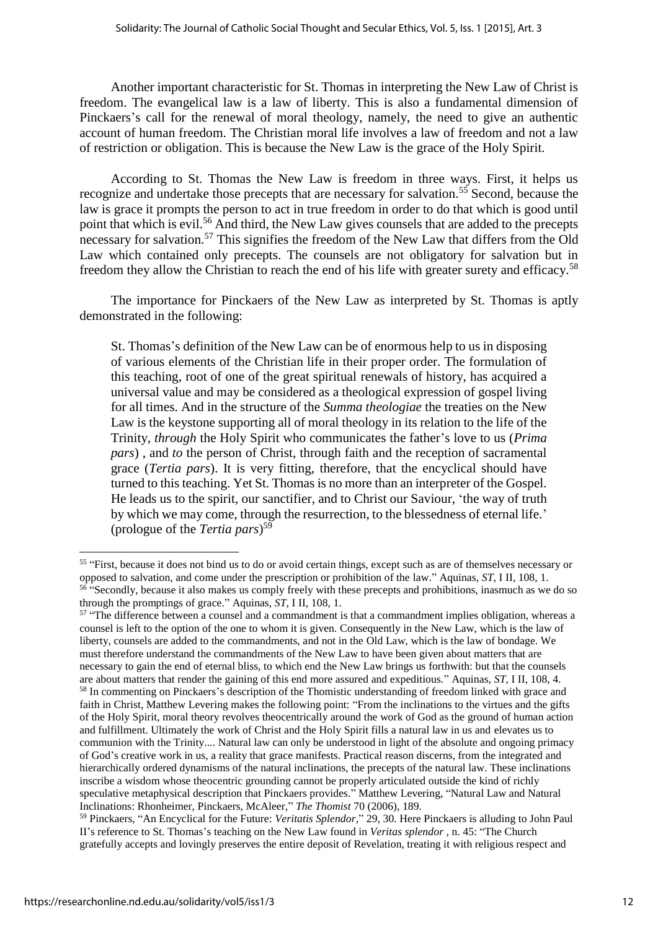Another important characteristic for St. Thomas in interpreting the New Law of Christ is freedom. The evangelical law is a law of liberty. This is also a fundamental dimension of Pinckaers's call for the renewal of moral theology, namely, the need to give an authentic account of human freedom. The Christian moral life involves a law of freedom and not a law of restriction or obligation. This is because the New Law is the grace of the Holy Spirit.

According to St. Thomas the New Law is freedom in three ways. First, it helps us recognize and undertake those precepts that are necessary for salvation.<sup>55</sup> Second, because the law is grace it prompts the person to act in true freedom in order to do that which is good until point that which is evil.<sup>56</sup> And third, the New Law gives counsels that are added to the precepts necessary for salvation.<sup>57</sup> This signifies the freedom of the New Law that differs from the Old Law which contained only precepts. The counsels are not obligatory for salvation but in freedom they allow the Christian to reach the end of his life with greater surety and efficacy.<sup>58</sup>

The importance for Pinckaers of the New Law as interpreted by St. Thomas is aptly demonstrated in the following:

St. Thomas's definition of the New Law can be of enormous help to us in disposing of various elements of the Christian life in their proper order. The formulation of this teaching, root of one of the great spiritual renewals of history, has acquired a universal value and may be considered as a theological expression of gospel living for all times. And in the structure of the *Summa theologiae* the treaties on the New Law is the keystone supporting all of moral theology in its relation to the life of the Trinity, *through* the Holy Spirit who communicates the father's love to us (*Prima pars*), and *to* the person of Christ, through faith and the reception of sacramental grace (*Tertia pars*). It is very fitting, therefore, that the encyclical should have turned to this teaching. Yet St. Thomas is no more than an interpreter of the Gospel. He leads us to the spirit, our sanctifier, and to Christ our Saviour, 'the way of truth by which we may come, through the resurrection, to the blessedness of eternal life.' (prologue of the *Tertia pars*) 59

<sup>&</sup>lt;sup>55</sup> "First, because it does not bind us to do or avoid certain things, except such as are of themselves necessary or opposed to salvation, and come under the prescription or prohibition of the law." Aquinas, ST, I II, 108, 1.<br><sup>56</sup> "Secondly, because it also makes us comply freely with these precepts and prohibitions, inasmuch as we do so through the promptings of grace." Aquinas, *ST*, I II, 108, 1.

 $57$  "The difference between a counsel and a commandment is that a commandment implies obligation, whereas a counsel is left to the option of the one to whom it is given. Consequently in the New Law, which is the law of liberty, counsels are added to the commandments, and not in the Old Law, which is the law of bondage. We must therefore understand the commandments of the New Law to have been given about matters that are necessary to gain the end of eternal bliss, to which end the New Law brings us forthwith: but that the counsels are about matters that render the gaining of this end more assured and expeditious." Aquinas, *ST*, I II, 108, 4. <sup>58</sup> In commenting on Pinckaers's description of the Thomistic understanding of freedom linked with grace and faith in Christ, Matthew Levering makes the following point: "From the inclinations to the virtues and the gifts of the Holy Spirit, moral theory revolves theocentrically around the work of God as the ground of human action and fulfillment. Ultimately the work of Christ and the Holy Spirit fills a natural law in us and elevates us to communion with the Trinity.... Natural law can only be understood in light of the absolute and ongoing primacy of God's creative work in us, a reality that grace manifests. Practical reason discerns, from the integrated and hierarchically ordered dynamisms of the natural inclinations, the precepts of the natural law. These inclinations inscribe a wisdom whose theocentric grounding cannot be properly articulated outside the kind of richly speculative metaphysical description that Pinckaers provides." Matthew Levering, "Natural Law and Natural Inclinations: Rhonheimer, Pinckaers, McAleer," *The Thomist* 70 (2006), 189.

<sup>59</sup> Pinckaers, "An Encyclical for the Future: *Veritatis Splendor*," 29, 30. Here Pinckaers is alluding to John Paul II's reference to St. Thomas's teaching on the New Law found in *Veritas splendor ,* n. 45: "The Church gratefully accepts and lovingly preserves the entire deposit of Revelation, treating it with religious respect and